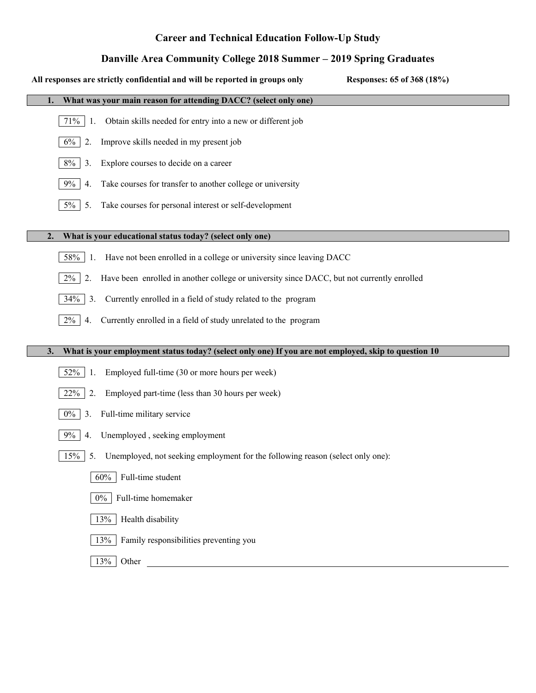# **Career and Technical Education Follow-Up Study**

# **Danville Area Community College 2018 Summer – 2019 Spring Graduates**

| All responses are strictly confidential and will be reported in groups only<br>Responses: 65 of 368 (18%)  |
|------------------------------------------------------------------------------------------------------------|
| What was your main reason for attending DACC? (select only one)                                            |
| Obtain skills needed for entry into a new or different job<br>71%<br>-1.                                   |
| Improve skills needed in my present job<br>$6\%$<br>2.                                                     |
| Explore courses to decide on a career<br>8%<br>3.                                                          |
| $9\%$<br>Take courses for transfer to another college or university<br>4.                                  |
| $5\%$<br>Take courses for personal interest or self-development<br>5.                                      |
| What is your educational status today? (select only one)<br>2.                                             |
| Have not been enrolled in a college or university since leaving DACC<br>58%<br>-1.                         |
| Have been enrolled in another college or university since DACC, but not currently enrolled<br>2%<br>2.     |
| 34%<br>Currently enrolled in a field of study related to the program<br>3.                                 |
| Currently enrolled in a field of study unrelated to the program<br>$2\%$<br>4.                             |
|                                                                                                            |
| What is your employment status today? (select only one) If you are not employed, skip to question 10<br>3. |
| Employed full-time (30 or more hours per week)<br>52%<br>-1.                                               |
| 22%<br>Employed part-time (less than 30 hours per week)<br>2.                                              |
| Full-time military service<br>$0\%$<br>3.                                                                  |
| Unemployed, seeking employment<br>9%<br>4.                                                                 |
| 15%<br>Unemployed, not seeking employment for the following reason (select only one):<br>5.                |
| Full-time student<br>60%                                                                                   |
| Full-time homemaker<br>$0\%$                                                                               |
| Health disability<br>13%                                                                                   |
| Family responsibilities preventing you<br>13%                                                              |
| 13%<br>Other                                                                                               |
|                                                                                                            |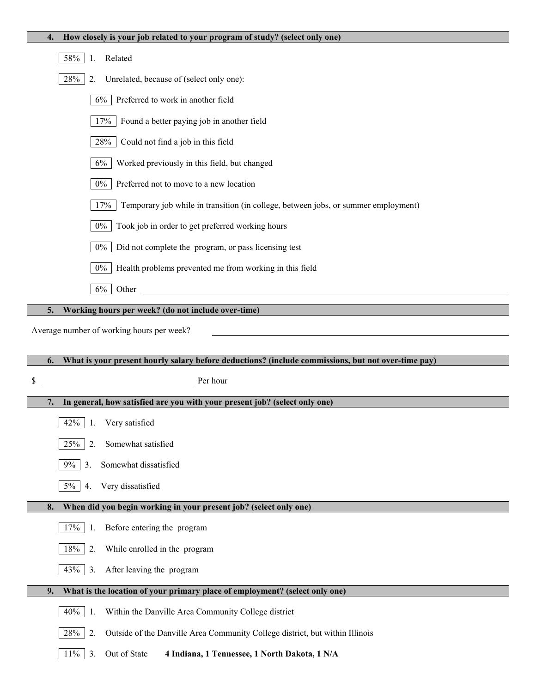| 58%<br>Related<br>1.                                                                                     |
|----------------------------------------------------------------------------------------------------------|
| 28%<br>Unrelated, because of (select only one):<br>2.                                                    |
| $6\%$<br>Preferred to work in another field                                                              |
| 17%<br>Found a better paying job in another field                                                        |
| 28%<br>Could not find a job in this field                                                                |
| 6%<br>Worked previously in this field, but changed                                                       |
| $0\%$<br>Preferred not to move to a new location                                                         |
| 17%<br>Temporary job while in transition (in college, between jobs, or summer employment)                |
| $0\%$<br>Took job in order to get preferred working hours                                                |
| $0\%$<br>Did not complete the program, or pass licensing test                                            |
| $0\%$<br>Health problems prevented me from working in this field                                         |
| $6\%$<br><u> 1980 - Jan Samuel Barbara, martin di</u><br>Other                                           |
| Working hours per week? (do not include over-time)<br>5.                                                 |
| Average number of working hours per week?                                                                |
|                                                                                                          |
|                                                                                                          |
| What is your present hourly salary before deductions? (include commissions, but not over-time pay)<br>6. |
| \$<br>Per hour                                                                                           |
| In general, how satisfied are you with your present job? (select only one)<br>7.                         |
| 42%<br>Very satisfied<br>-1.                                                                             |
| 2.<br>Somewhat satisfied<br>25%                                                                          |
| Somewhat dissatisfied<br>$9\%$<br>3.                                                                     |
| $5\%$<br>Very dissatisfied<br>4.                                                                         |
| When did you begin working in your present job? (select only one)<br>8.                                  |
| 17%<br>Before entering the program<br>1.                                                                 |
| 18%<br>2.<br>While enrolled in the program                                                               |
| 43%<br>3.<br>After leaving the program                                                                   |
| What is the location of your primary place of employment? (select only one)<br>9.                        |
| 40%<br>Within the Danville Area Community College district<br>1.                                         |
| 28%<br>2.<br>Outside of the Danville Area Community College district, but within Illinois                |

**4. How closely is your job related to your program of study? (select only one)**